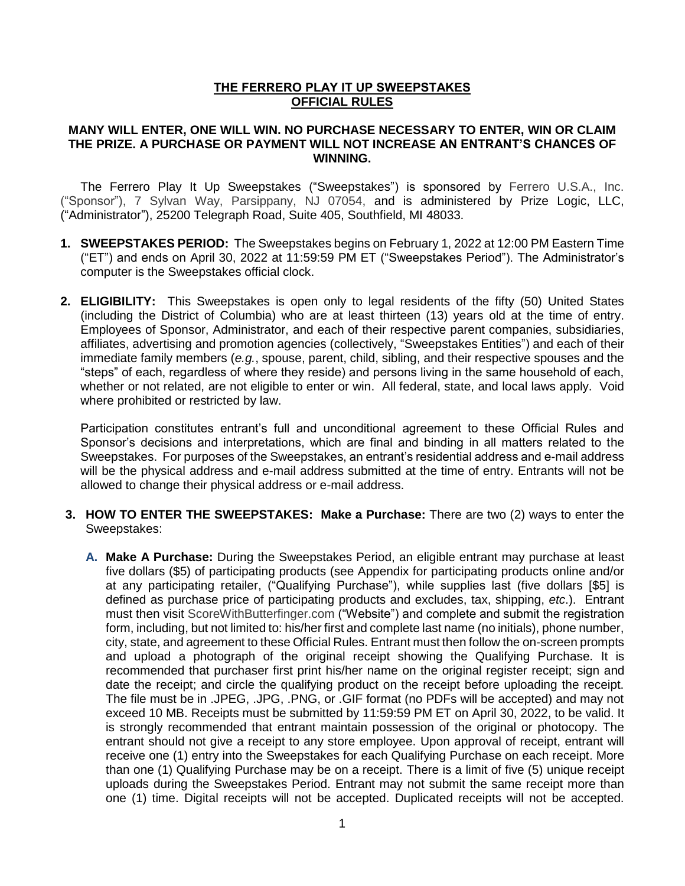### **THE FERRERO PLAY IT UP SWEEPSTAKES OFFICIAL RULES**

#### **MANY WILL ENTER, ONE WILL WIN. NO PURCHASE NECESSARY TO ENTER, WIN OR CLAIM THE PRIZE. A PURCHASE OR PAYMENT WILL NOT INCREASE AN ENTRANT'S CHANCES OF WINNING.**

The Ferrero Play It Up Sweepstakes ("Sweepstakes") is sponsored by Ferrero U.S.A., Inc. ("Sponsor"), 7 Sylvan Way, Parsippany, NJ 07054, and is administered by Prize Logic, LLC, ("Administrator"), 25200 Telegraph Road, Suite 405, Southfield, MI 48033.

- **1. SWEEPSTAKES PERIOD:** The Sweepstakes begins on February 1, 2022 at 12:00 PM Eastern Time ("ET") and ends on April 30, 2022 at 11:59:59 PM ET ("Sweepstakes Period"). The Administrator's computer is the Sweepstakes official clock.
- **2. ELIGIBILITY:** This Sweepstakes is open only to legal residents of the fifty (50) United States (including the District of Columbia) who are at least thirteen (13) years old at the time of entry. Employees of Sponsor, Administrator, and each of their respective parent companies, subsidiaries, affiliates, advertising and promotion agencies (collectively, "Sweepstakes Entities") and each of their immediate family members (*e.g.*, spouse, parent, child, sibling, and their respective spouses and the "steps" of each, regardless of where they reside) and persons living in the same household of each, whether or not related, are not eligible to enter or win. All federal, state, and local laws apply. Void where prohibited or restricted by law.

Participation constitutes entrant's full and unconditional agreement to these Official Rules and Sponsor's decisions and interpretations, which are final and binding in all matters related to the Sweepstakes. For purposes of the Sweepstakes, an entrant's residential address and e-mail address will be the physical address and e-mail address submitted at the time of entry. Entrants will not be allowed to change their physical address or e-mail address.

- **3. HOW TO ENTER THE SWEEPSTAKES: Make a Purchase:** There are two (2) ways to enter the Sweepstakes:
	- **A. Make A Purchase:** During the Sweepstakes Period, an eligible entrant may purchase at least five dollars (\$5) of participating products (see Appendix for participating products online and/or at any participating retailer, ("Qualifying Purchase"), while supplies last (five dollars [\$5] is defined as purchase price of participating products and excludes, tax, shipping, *etc*.). Entrant must then visit ScoreWithButterfinger.com ("Website") and complete and submit the registration form, including, but not limited to: his/her first and complete last name (no initials), phone number, city, state, and agreement to these Official Rules. Entrant must then follow the on-screen prompts and upload a photograph of the original receipt showing the Qualifying Purchase. It is recommended that purchaser first print his/her name on the original register receipt; sign and date the receipt; and circle the qualifying product on the receipt before uploading the receipt. The file must be in .JPEG, .JPG, .PNG, or .GIF format (no PDFs will be accepted) and may not exceed 10 MB. Receipts must be submitted by 11:59:59 PM ET on April 30, 2022, to be valid. It is strongly recommended that entrant maintain possession of the original or photocopy. The entrant should not give a receipt to any store employee. Upon approval of receipt, entrant will receive one (1) entry into the Sweepstakes for each Qualifying Purchase on each receipt. More than one (1) Qualifying Purchase may be on a receipt. There is a limit of five (5) unique receipt uploads during the Sweepstakes Period. Entrant may not submit the same receipt more than one (1) time. Digital receipts will not be accepted. Duplicated receipts will not be accepted.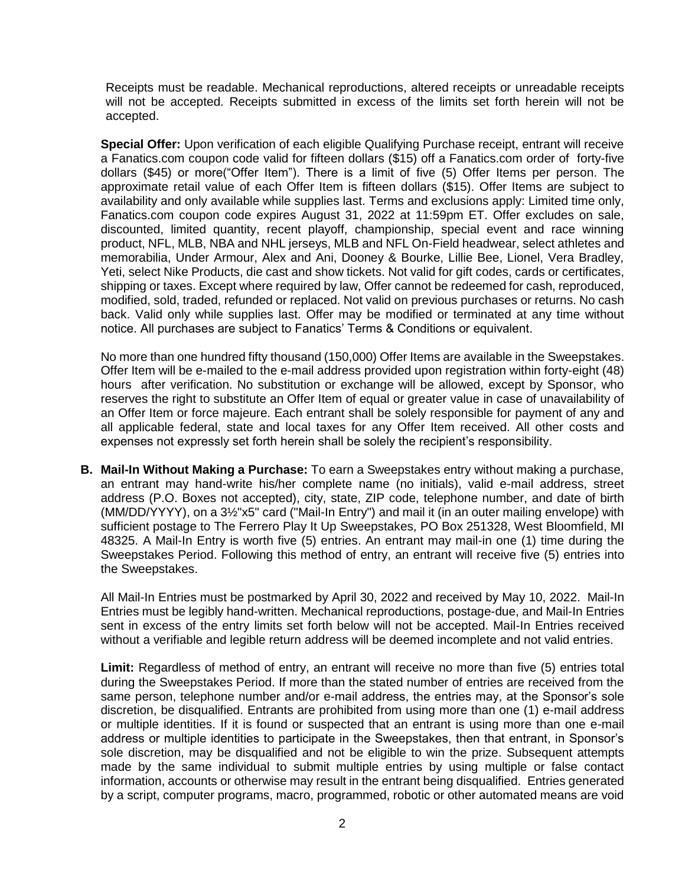Receipts must be readable. Mechanical reproductions, altered receipts or unreadable receipts will not be accepted. Receipts submitted in excess of the limits set forth herein will not be accepted.

**Special Offer:** Upon verification of each eligible Qualifying Purchase receipt, entrant will receive a Fanatics.com coupon code valid for fifteen dollars (\$15) off a Fanatics.com order of forty-five dollars (\$45) or more("Offer Item"). There is a limit of five (5) Offer Items per person. The approximate retail value of each Offer Item is fifteen dollars (\$15). Offer Items are subject to availability and only available while supplies last. Terms and exclusions apply: Limited time only, Fanatics.com coupon code expires August 31, 2022 at 11:59pm ET. Offer excludes on sale, discounted, limited quantity, recent playoff, championship, special event and race winning product, NFL, MLB, NBA and NHL jerseys, MLB and NFL On-Field headwear, select athletes and memorabilia, Under Armour, Alex and Ani, Dooney & Bourke, Lillie Bee, Lionel, Vera Bradley, Yeti, select Nike Products, die cast and show tickets. Not valid for gift codes, cards or certificates, shipping or taxes. Except where required by law, Offer cannot be redeemed for cash, reproduced, modified, sold, traded, refunded or replaced. Not valid on previous purchases or returns. No cash back. Valid only while supplies last. Offer may be modified or terminated at any time without notice. All purchases are subject to Fanatics' Terms & Conditions or equivalent.

No more than one hundred fifty thousand (150,000) Offer Items are available in the Sweepstakes. Offer Item will be e-mailed to the e-mail address provided upon registration within forty-eight (48) hours after verification. No substitution or exchange will be allowed, except by Sponsor, who reserves the right to substitute an Offer Item of equal or greater value in case of unavailability of an Offer Item or force majeure. Each entrant shall be solely responsible for payment of any and all applicable federal, state and local taxes for any Offer Item received. All other costs and expenses not expressly set forth herein shall be solely the recipient's responsibility.

**B. Mail-In Without Making a Purchase:** To earn a Sweepstakes entry without making a purchase, an entrant may hand-write his/her complete name (no initials), valid e-mail address, street address (P.O. Boxes not accepted), city, state, ZIP code, telephone number, and date of birth (MM/DD/YYYY), on a 3½"x5" card ("Mail-In Entry") and mail it (in an outer mailing envelope) with sufficient postage to The Ferrero Play It Up Sweepstakes, PO Box 251328, West Bloomfield, MI 48325. A Mail-In Entry is worth five (5) entries. An entrant may mail-in one (1) time during the Sweepstakes Period. Following this method of entry, an entrant will receive five (5) entries into the Sweepstakes.

All Mail-In Entries must be postmarked by April 30, 2022 and received by May 10, 2022. Mail-In Entries must be legibly hand-written. Mechanical reproductions, postage-due, and Mail-In Entries sent in excess of the entry limits set forth below will not be accepted. Mail-In Entries received without a verifiable and legible return address will be deemed incomplete and not valid entries.

**Limit:** Regardless of method of entry, an entrant will receive no more than five (5) entries total during the Sweepstakes Period. If more than the stated number of entries are received from the same person, telephone number and/or e-mail address, the entries may, at the Sponsor's sole discretion, be disqualified. Entrants are prohibited from using more than one (1) e-mail address or multiple identities. If it is found or suspected that an entrant is using more than one e-mail address or multiple identities to participate in the Sweepstakes, then that entrant, in Sponsor's sole discretion, may be disqualified and not be eligible to win the prize. Subsequent attempts made by the same individual to submit multiple entries by using multiple or false contact information, accounts or otherwise may result in the entrant being disqualified. Entries generated by a script, computer programs, macro, programmed, robotic or other automated means are void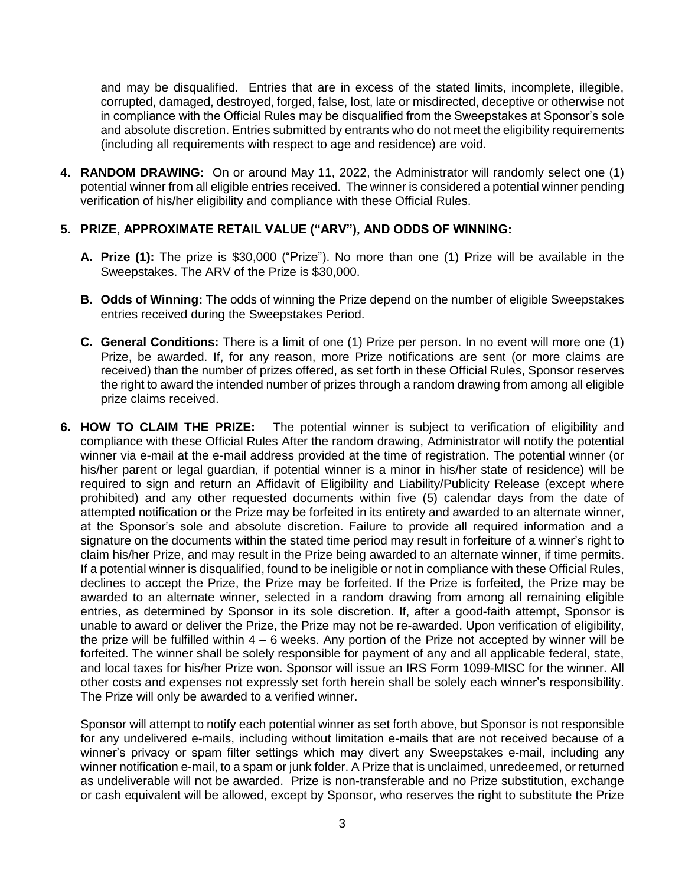and may be disqualified. Entries that are in excess of the stated limits, incomplete, illegible, corrupted, damaged, destroyed, forged, false, lost, late or misdirected, deceptive or otherwise not in compliance with the Official Rules may be disqualified from the Sweepstakes at Sponsor's sole and absolute discretion. Entries submitted by entrants who do not meet the eligibility requirements (including all requirements with respect to age and residence) are void.

**4. RANDOM DRAWING:** On or around May 11, 2022, the Administrator will randomly select one (1) potential winner from all eligible entries received. The winner is considered a potential winner pending verification of his/her eligibility and compliance with these Official Rules.

#### **5. PRIZE, APPROXIMATE RETAIL VALUE ("ARV"), AND ODDS OF WINNING:**

- **A. Prize (1):** The prize is \$30,000 ("Prize"). No more than one (1) Prize will be available in the Sweepstakes. The ARV of the Prize is \$30,000.
- **B. Odds of Winning:** The odds of winning the Prize depend on the number of eligible Sweepstakes entries received during the Sweepstakes Period.
- **C. General Conditions:** There is a limit of one (1) Prize per person. In no event will more one (1) Prize, be awarded. If, for any reason, more Prize notifications are sent (or more claims are received) than the number of prizes offered, as set forth in these Official Rules, Sponsor reserves the right to award the intended number of prizes through a random drawing from among all eligible prize claims received.
- **6. HOW TO CLAIM THE PRIZE:** The potential winner is subject to verification of eligibility and compliance with these Official Rules After the random drawing, Administrator will notify the potential winner via e-mail at the e-mail address provided at the time of registration. The potential winner (or his/her parent or legal guardian, if potential winner is a minor in his/her state of residence) will be required to sign and return an Affidavit of Eligibility and Liability/Publicity Release (except where prohibited) and any other requested documents within five (5) calendar days from the date of attempted notification or the Prize may be forfeited in its entirety and awarded to an alternate winner, at the Sponsor's sole and absolute discretion. Failure to provide all required information and a signature on the documents within the stated time period may result in forfeiture of a winner's right to claim his/her Prize, and may result in the Prize being awarded to an alternate winner, if time permits. If a potential winner is disqualified, found to be ineligible or not in compliance with these Official Rules, declines to accept the Prize, the Prize may be forfeited. If the Prize is forfeited, the Prize may be awarded to an alternate winner, selected in a random drawing from among all remaining eligible entries, as determined by Sponsor in its sole discretion. If, after a good-faith attempt, Sponsor is unable to award or deliver the Prize, the Prize may not be re-awarded. Upon verification of eligibility, the prize will be fulfilled within  $4 - 6$  weeks. Any portion of the Prize not accepted by winner will be forfeited. The winner shall be solely responsible for payment of any and all applicable federal, state, and local taxes for his/her Prize won. Sponsor will issue an IRS Form 1099-MISC for the winner. All other costs and expenses not expressly set forth herein shall be solely each winner's responsibility. The Prize will only be awarded to a verified winner.

Sponsor will attempt to notify each potential winner as set forth above, but Sponsor is not responsible for any undelivered e-mails, including without limitation e-mails that are not received because of a winner's privacy or spam filter settings which may divert any Sweepstakes e-mail, including any winner notification e-mail, to a spam or junk folder. A Prize that is unclaimed, unredeemed, or returned as undeliverable will not be awarded. Prize is non-transferable and no Prize substitution, exchange or cash equivalent will be allowed, except by Sponsor, who reserves the right to substitute the Prize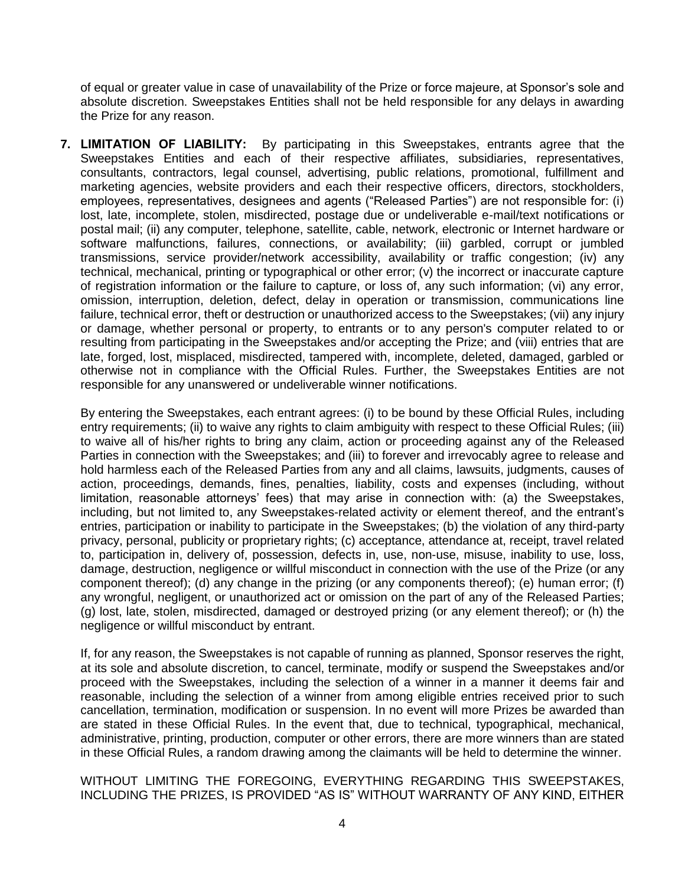of equal or greater value in case of unavailability of the Prize or force majeure, at Sponsor's sole and absolute discretion. Sweepstakes Entities shall not be held responsible for any delays in awarding the Prize for any reason.

**7. LIMITATION OF LIABILITY:** By participating in this Sweepstakes, entrants agree that the Sweepstakes Entities and each of their respective affiliates, subsidiaries, representatives, consultants, contractors, legal counsel, advertising, public relations, promotional, fulfillment and marketing agencies, website providers and each their respective officers, directors, stockholders, employees, representatives, designees and agents ("Released Parties") are not responsible for: (i) lost, late, incomplete, stolen, misdirected, postage due or undeliverable e-mail/text notifications or postal mail; (ii) any computer, telephone, satellite, cable, network, electronic or Internet hardware or software malfunctions, failures, connections, or availability; (iii) garbled, corrupt or jumbled transmissions, service provider/network accessibility, availability or traffic congestion; (iv) any technical, mechanical, printing or typographical or other error; (v) the incorrect or inaccurate capture of registration information or the failure to capture, or loss of, any such information; (vi) any error, omission, interruption, deletion, defect, delay in operation or transmission, communications line failure, technical error, theft or destruction or unauthorized access to the Sweepstakes; (vii) any injury or damage, whether personal or property, to entrants or to any person's computer related to or resulting from participating in the Sweepstakes and/or accepting the Prize; and (viii) entries that are late, forged, lost, misplaced, misdirected, tampered with, incomplete, deleted, damaged, garbled or otherwise not in compliance with the Official Rules. Further, the Sweepstakes Entities are not responsible for any unanswered or undeliverable winner notifications.

By entering the Sweepstakes, each entrant agrees: (i) to be bound by these Official Rules, including entry requirements; (ii) to waive any rights to claim ambiguity with respect to these Official Rules; (iii) to waive all of his/her rights to bring any claim, action or proceeding against any of the Released Parties in connection with the Sweepstakes; and (iii) to forever and irrevocably agree to release and hold harmless each of the Released Parties from any and all claims, lawsuits, judgments, causes of action, proceedings, demands, fines, penalties, liability, costs and expenses (including, without limitation, reasonable attorneys' fees) that may arise in connection with: (a) the Sweepstakes, including, but not limited to, any Sweepstakes-related activity or element thereof, and the entrant's entries, participation or inability to participate in the Sweepstakes; (b) the violation of any third-party privacy, personal, publicity or proprietary rights; (c) acceptance, attendance at, receipt, travel related to, participation in, delivery of, possession, defects in, use, non-use, misuse, inability to use, loss, damage, destruction, negligence or willful misconduct in connection with the use of the Prize (or any component thereof); (d) any change in the prizing (or any components thereof); (e) human error; (f) any wrongful, negligent, or unauthorized act or omission on the part of any of the Released Parties; (g) lost, late, stolen, misdirected, damaged or destroyed prizing (or any element thereof); or (h) the negligence or willful misconduct by entrant.

If, for any reason, the Sweepstakes is not capable of running as planned, Sponsor reserves the right, at its sole and absolute discretion, to cancel, terminate, modify or suspend the Sweepstakes and/or proceed with the Sweepstakes, including the selection of a winner in a manner it deems fair and reasonable, including the selection of a winner from among eligible entries received prior to such cancellation, termination, modification or suspension. In no event will more Prizes be awarded than are stated in these Official Rules. In the event that, due to technical, typographical, mechanical, administrative, printing, production, computer or other errors, there are more winners than are stated in these Official Rules, a random drawing among the claimants will be held to determine the winner.

WITHOUT LIMITING THE FOREGOING, EVERYTHING REGARDING THIS SWEEPSTAKES, INCLUDING THE PRIZES, IS PROVIDED "AS IS" WITHOUT WARRANTY OF ANY KIND, EITHER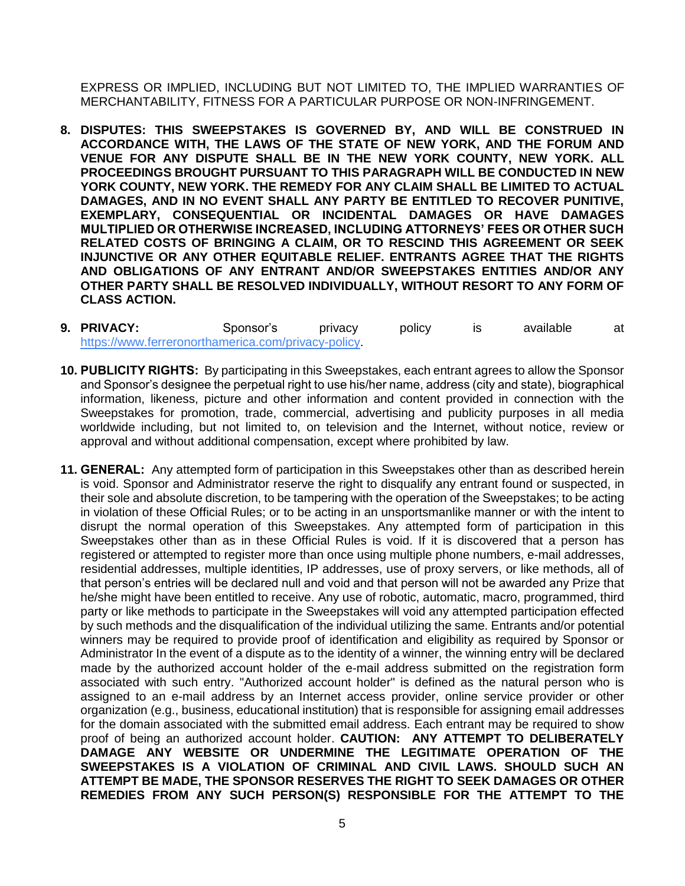EXPRESS OR IMPLIED, INCLUDING BUT NOT LIMITED TO, THE IMPLIED WARRANTIES OF MERCHANTABILITY, FITNESS FOR A PARTICULAR PURPOSE OR NON-INFRINGEMENT.

- **8. DISPUTES: THIS SWEEPSTAKES IS GOVERNED BY, AND WILL BE CONSTRUED IN ACCORDANCE WITH, THE LAWS OF THE STATE OF NEW YORK, AND THE FORUM AND VENUE FOR ANY DISPUTE SHALL BE IN THE NEW YORK COUNTY, NEW YORK. ALL PROCEEDINGS BROUGHT PURSUANT TO THIS PARAGRAPH WILL BE CONDUCTED IN NEW YORK COUNTY, NEW YORK. THE REMEDY FOR ANY CLAIM SHALL BE LIMITED TO ACTUAL DAMAGES, AND IN NO EVENT SHALL ANY PARTY BE ENTITLED TO RECOVER PUNITIVE, EXEMPLARY, CONSEQUENTIAL OR INCIDENTAL DAMAGES OR HAVE DAMAGES MULTIPLIED OR OTHERWISE INCREASED, INCLUDING ATTORNEYS' FEES OR OTHER SUCH RELATED COSTS OF BRINGING A CLAIM, OR TO RESCIND THIS AGREEMENT OR SEEK INJUNCTIVE OR ANY OTHER EQUITABLE RELIEF. ENTRANTS AGREE THAT THE RIGHTS AND OBLIGATIONS OF ANY ENTRANT AND/OR SWEEPSTAKES ENTITIES AND/OR ANY OTHER PARTY SHALL BE RESOLVED INDIVIDUALLY, WITHOUT RESORT TO ANY FORM OF CLASS ACTION.**
- **9. PRIVACY:** Sponsor's privacy policy is available at https://www.ferreronorthamerica.com/privacy-policy.
- **10. PUBLICITY RIGHTS:** By participating in this Sweepstakes, each entrant agrees to allow the Sponsor and Sponsor's designee the perpetual right to use his/her name, address (city and state), biographical information, likeness, picture and other information and content provided in connection with the Sweepstakes for promotion, trade, commercial, advertising and publicity purposes in all media worldwide including, but not limited to, on television and the Internet, without notice, review or approval and without additional compensation, except where prohibited by law.
- **11. GENERAL:** Any attempted form of participation in this Sweepstakes other than as described herein is void. Sponsor and Administrator reserve the right to disqualify any entrant found or suspected, in their sole and absolute discretion, to be tampering with the operation of the Sweepstakes; to be acting in violation of these Official Rules; or to be acting in an unsportsmanlike manner or with the intent to disrupt the normal operation of this Sweepstakes. Any attempted form of participation in this Sweepstakes other than as in these Official Rules is void. If it is discovered that a person has registered or attempted to register more than once using multiple phone numbers, e-mail addresses, residential addresses, multiple identities, IP addresses, use of proxy servers, or like methods, all of that person's entries will be declared null and void and that person will not be awarded any Prize that he/she might have been entitled to receive. Any use of robotic, automatic, macro, programmed, third party or like methods to participate in the Sweepstakes will void any attempted participation effected by such methods and the disqualification of the individual utilizing the same. Entrants and/or potential winners may be required to provide proof of identification and eligibility as required by Sponsor or Administrator In the event of a dispute as to the identity of a winner, the winning entry will be declared made by the authorized account holder of the e-mail address submitted on the registration form associated with such entry. "Authorized account holder" is defined as the natural person who is assigned to an e-mail address by an Internet access provider, online service provider or other organization (e.g., business, educational institution) that is responsible for assigning email addresses for the domain associated with the submitted email address. Each entrant may be required to show proof of being an authorized account holder. **CAUTION: ANY ATTEMPT TO DELIBERATELY DAMAGE ANY WEBSITE OR UNDERMINE THE LEGITIMATE OPERATION OF THE SWEEPSTAKES IS A VIOLATION OF CRIMINAL AND CIVIL LAWS. SHOULD SUCH AN ATTEMPT BE MADE, THE SPONSOR RESERVES THE RIGHT TO SEEK DAMAGES OR OTHER REMEDIES FROM ANY SUCH PERSON(S) RESPONSIBLE FOR THE ATTEMPT TO THE**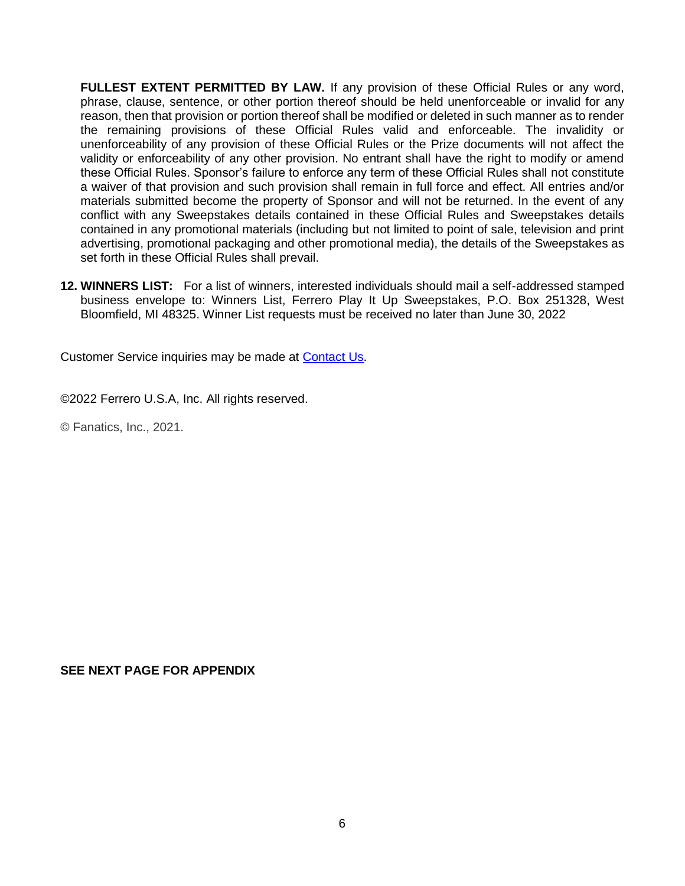**FULLEST EXTENT PERMITTED BY LAW.** If any provision of these Official Rules or any word, phrase, clause, sentence, or other portion thereof should be held unenforceable or invalid for any reason, then that provision or portion thereof shall be modified or deleted in such manner as to render the remaining provisions of these Official Rules valid and enforceable. The invalidity or unenforceability of any provision of these Official Rules or the Prize documents will not affect the validity or enforceability of any other provision. No entrant shall have the right to modify or amend these Official Rules. Sponsor's failure to enforce any term of these Official Rules shall not constitute a waiver of that provision and such provision shall remain in full force and effect. All entries and/or materials submitted become the property of Sponsor and will not be returned. In the event of any conflict with any Sweepstakes details contained in these Official Rules and Sweepstakes details contained in any promotional materials (including but not limited to point of sale, television and print advertising, promotional packaging and other promotional media), the details of the Sweepstakes as set forth in these Official Rules shall prevail.

**12. WINNERS LIST:** For a list of winners, interested individuals should mail a self-addressed stamped business envelope to: Winners List, Ferrero Play It Up Sweepstakes, P.O. Box 251328, West Bloomfield, MI 48325. Winner List requests must be received no later than June 30, 2022

Customer Service inquiries may be made at [Contact Us.](https://prizelogic.zendesk.com/hc/en-us?id=015880)

©2022 Ferrero U.S.A, Inc. All rights reserved.

© Fanatics, Inc., 2021.

**SEE NEXT PAGE FOR APPENDIX**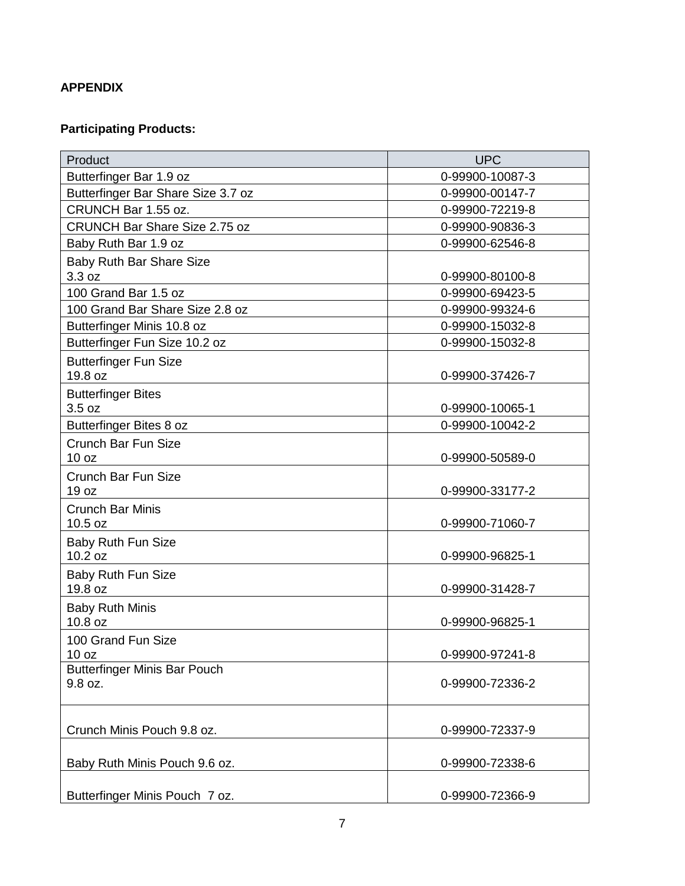## **APPENDIX**

# **Participating Products:**

| Product                              | <b>UPC</b>      |
|--------------------------------------|-----------------|
| Butterfinger Bar 1.9 oz              | 0-99900-10087-3 |
| Butterfinger Bar Share Size 3.7 oz   | 0-99900-00147-7 |
| CRUNCH Bar 1.55 oz.                  | 0-99900-72219-8 |
| <b>CRUNCH Bar Share Size 2.75 oz</b> | 0-99900-90836-3 |
| Baby Ruth Bar 1.9 oz                 | 0-99900-62546-8 |
| <b>Baby Ruth Bar Share Size</b>      |                 |
| 3.3 oz                               | 0-99900-80100-8 |
| 100 Grand Bar 1.5 oz                 | 0-99900-69423-5 |
| 100 Grand Bar Share Size 2.8 oz      | 0-99900-99324-6 |
| Butterfinger Minis 10.8 oz           | 0-99900-15032-8 |
| Butterfinger Fun Size 10.2 oz        | 0-99900-15032-8 |
| <b>Butterfinger Fun Size</b>         |                 |
| 19.8 oz                              | 0-99900-37426-7 |
| <b>Butterfinger Bites</b>            |                 |
| 3.5 oz                               | 0-99900-10065-1 |
| Butterfinger Bites 8 oz              | 0-99900-10042-2 |
| Crunch Bar Fun Size                  |                 |
| 10 <sub>oz</sub>                     | 0-99900-50589-0 |
| Crunch Bar Fun Size                  |                 |
| 19 oz                                | 0-99900-33177-2 |
| <b>Crunch Bar Minis</b>              |                 |
| 10.5 oz                              | 0-99900-71060-7 |
| Baby Ruth Fun Size                   |                 |
| 10.2 oz                              | 0-99900-96825-1 |
| Baby Ruth Fun Size                   |                 |
| 19.8 oz                              | 0-99900-31428-7 |
| <b>Baby Ruth Minis</b>               |                 |
| 10.8 oz                              | 0-99900-96825-1 |
| 100 Grand Fun Size                   |                 |
| 10 oz                                | 0-99900-97241-8 |
| <b>Butterfinger Minis Bar Pouch</b>  |                 |
| 9.8 oz.                              | 0-99900-72336-2 |
|                                      |                 |
| Crunch Minis Pouch 9.8 oz.           | 0-99900-72337-9 |
|                                      |                 |
| Baby Ruth Minis Pouch 9.6 oz.        | 0-99900-72338-6 |
|                                      |                 |
|                                      |                 |
| Butterfinger Minis Pouch 7 oz.       | 0-99900-72366-9 |